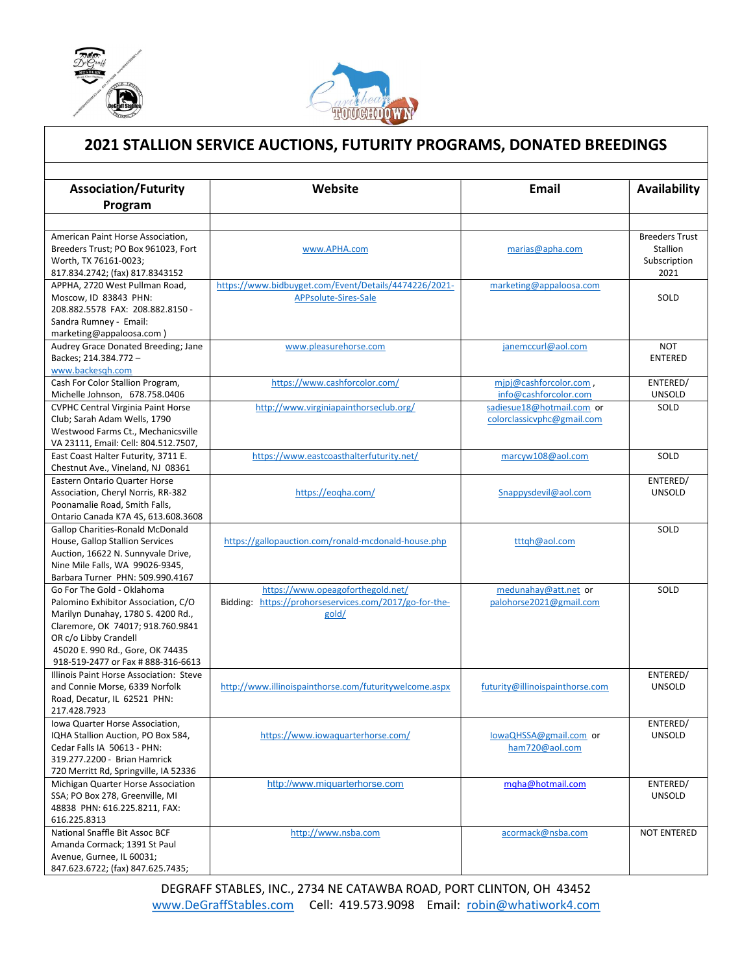

L



## 2021 STALLION SERVICE AUCTIONS, FUTURITY PROGRAMS, DONATED BREEDINGS

| <b>Association/Futurity</b>                                              | Website                                                | Email                           | Availability                      |
|--------------------------------------------------------------------------|--------------------------------------------------------|---------------------------------|-----------------------------------|
|                                                                          |                                                        |                                 |                                   |
| Program                                                                  |                                                        |                                 |                                   |
|                                                                          |                                                        |                                 |                                   |
| American Paint Horse Association,<br>Breeders Trust; PO Box 961023, Fort | www.APHA.com                                           | marias@apha.com                 | <b>Breeders Trust</b><br>Stallion |
| Worth, TX 76161-0023;                                                    |                                                        |                                 | Subscription                      |
| 817.834.2742; (fax) 817.8343152                                          |                                                        |                                 | 2021                              |
| APPHA, 2720 West Pullman Road,                                           | https://www.bidbuyget.com/Event/Details/4474226/2021-  | marketing@appaloosa.com         |                                   |
| Moscow, ID 83843 PHN:                                                    | APPsolute-Sires-Sale                                   |                                 | SOLD                              |
| 208.882.5578 FAX: 208.882.8150 -                                         |                                                        |                                 |                                   |
| Sandra Rumney - Email:                                                   |                                                        |                                 |                                   |
| marketing@appaloosa.com)                                                 |                                                        |                                 |                                   |
| Audrey Grace Donated Breeding; Jane                                      | www.pleasurehorse.com                                  | janemccurl@aol.com              | <b>NOT</b>                        |
| Backes; 214.384.772 -                                                    |                                                        |                                 | <b>ENTERED</b>                    |
| www.backesgh.com                                                         |                                                        |                                 |                                   |
| Cash For Color Stallion Program,                                         | https://www.cashforcolor.com/                          | mipj@cashforcolor.com,          | ENTERED/                          |
| Michelle Johnson, 678.758.0406                                           |                                                        | info@cashforcolor.com           | <b>UNSOLD</b>                     |
| <b>CVPHC Central Virginia Paint Horse</b>                                | http://www.virginiapainthorseclub.org/                 | sadiesue18@hotmail.com or       | SOLD                              |
| Club; Sarah Adam Wells, 1790                                             |                                                        | colorclassicvphc@gmail.com      |                                   |
| Westwood Farms Ct., Mechanicsville                                       |                                                        |                                 |                                   |
| VA 23111, Email: Cell: 804.512.7507,                                     |                                                        |                                 |                                   |
| East Coast Halter Futurity, 3711 E.                                      | https://www.eastcoasthalterfuturity.net/               | marcyw108@aol.com               | SOLD                              |
| Chestnut Ave., Vineland, NJ 08361                                        |                                                        |                                 |                                   |
| Eastern Ontario Quarter Horse                                            |                                                        |                                 | ENTERED/                          |
| Association, Cheryl Norris, RR-382                                       | https://eogha.com/                                     | Snappysdevil@aol.com            | <b>UNSOLD</b>                     |
| Poonamalie Road, Smith Falls,                                            |                                                        |                                 |                                   |
| Ontario Canada K7A 4S, 613.608.3608                                      |                                                        |                                 |                                   |
| <b>Gallop Charities-Ronald McDonald</b>                                  |                                                        |                                 | SOLD                              |
| House, Gallop Stallion Services<br>Auction, 16622 N. Sunnyvale Drive,    | https://gallopauction.com/ronald-mcdonald-house.php    | tttqh@aol.com                   |                                   |
| Nine Mile Falls, WA 99026-9345,                                          |                                                        |                                 |                                   |
| Barbara Turner PHN: 509.990.4167                                         |                                                        |                                 |                                   |
| Go For The Gold - Oklahoma                                               | https://www.opeagoforthegold.net/                      | medunahay@att.net or            | SOLD                              |
| Palomino Exhibitor Association, C/O                                      | Bidding: https://prohorseservices.com/2017/go-for-the- | palohorse2021@gmail.com         |                                   |
| Marilyn Dunahay, 1780 S. 4200 Rd.,                                       | gold/                                                  |                                 |                                   |
| Claremore, OK 74017; 918.760.9841                                        |                                                        |                                 |                                   |
| OR c/o Libby Crandell                                                    |                                                        |                                 |                                   |
| 45020 E. 990 Rd., Gore, OK 74435                                         |                                                        |                                 |                                   |
| 918-519-2477 or Fax # 888-316-6613                                       |                                                        |                                 |                                   |
| Illinois Paint Horse Association: Steve                                  |                                                        |                                 | ENTERED/                          |
| and Connie Morse, 6339 Norfolk                                           | http://www.illinoispainthorse.com/futuritywelcome.aspx | futurity@illinoispainthorse.com | <b>UNSOLD</b>                     |
| Road, Decatur, IL 62521 PHN:                                             |                                                        |                                 |                                   |
| 217.428.7923                                                             |                                                        |                                 |                                   |
| Iowa Quarter Horse Association,                                          |                                                        |                                 | ENTERED/                          |
| IQHA Stallion Auction, PO Box 584,                                       | https://www.iowaguarterhorse.com/                      | lowaQHSSA@gmail.com or          | <b>UNSOLD</b>                     |
| Cedar Falls IA 50613 - PHN:                                              |                                                        | ham720@aol.com                  |                                   |
| 319.277.2200 - Brian Hamrick                                             |                                                        |                                 |                                   |
| 720 Merritt Rd, Springville, IA 52336                                    |                                                        |                                 |                                   |
| Michigan Quarter Horse Association                                       | http://www.miquarterhorse.com                          | mqha@hotmail.com                | ENTERED/                          |
| SSA; PO Box 278, Greenville, MI                                          |                                                        |                                 | <b>UNSOLD</b>                     |
| 48838 PHN: 616.225.8211, FAX:<br>616.225.8313                            |                                                        |                                 |                                   |
| National Snaffle Bit Assoc BCF                                           |                                                        |                                 |                                   |
| Amanda Cormack; 1391 St Paul                                             | http://www.nsba.com                                    | acormack@nsba.com               | <b>NOT ENTERED</b>                |
| Avenue, Gurnee, IL 60031;                                                |                                                        |                                 |                                   |
| 847.623.6722; (fax) 847.625.7435;                                        |                                                        |                                 |                                   |

DEGRAFF STABLES, INC., 2734 NE CATAWBA ROAD, PORT CLINTON, OH 43452 www.DeGraffStables.com Cell: 419.573.9098 Email: robin@whatiwork4.com